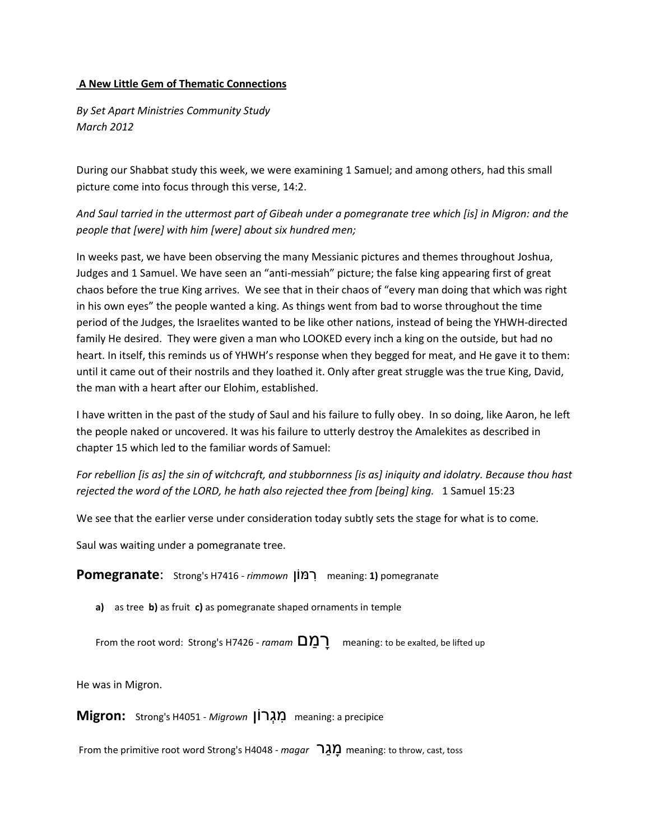## **A New Little Gem of Thematic Connections**

*By Set Apart Ministries Community Study March 2012*

During our Shabbat study this week, we were examining 1 Samuel; and among others, had this small picture come into focus through this verse, 14:2.

*And Saul tarried in the uttermost part of Gibeah under a pomegranate tree which [is] in Migron: and the people that [were] with him [were] about six hundred men;*

In weeks past, we have been observing the many Messianic pictures and themes throughout Joshua, Judges and 1 Samuel. We have seen an "anti-messiah" picture; the false king appearing first of great chaos before the true King arrives. We see that in their chaos of "every man doing that which was right in his own eyes" the people wanted a king. As things went from bad to worse throughout the time period of the Judges, the Israelites wanted to be like other nations, instead of being the YHWH-directed family He desired. They were given a man who LOOKED every inch a king on the outside, but had no heart. In itself, this reminds us of YHWH's response when they begged for meat, and He gave it to them: until it came out of their nostrils and they loathed it. Only after great struggle was the true King, David, the man with a heart after our Elohim, established.

I have written in the past of the study of Saul and his failure to fully obey. In so doing, like Aaron, he left the people naked or uncovered. It was his failure to utterly destroy the Amalekites as described in chapter 15 which led to the familiar words of Samuel:

*For rebellion [is as] the sin of witchcraft, and stubbornness [is as] iniquity and idolatry. Because thou hast rejected the word of the LORD, he hath also rejected thee from [being] king.* 1 Samuel 15:23

We see that the earlier verse under consideration today subtly sets the stage for what is to come.

Saul was waiting under a pomegranate tree.

**Pomegranate:** Strong's H7416 - *rimmown* [וֹמוֹן meaning: 1) pomegranate

**a)** as tree **b)** as fruit **c)** as pomegranate shaped ornaments in temple

From the root word: Strong's H7426 - *ramam*  $\Box$ ) meaning: to be exalted, be lifted up

He was in Migron.

**Migron:** Strong's H4051 - *Migrown* meaning: a precipice

From the primitive root word Strong's H4048 - *magar* meaning: to throw, cast, toss